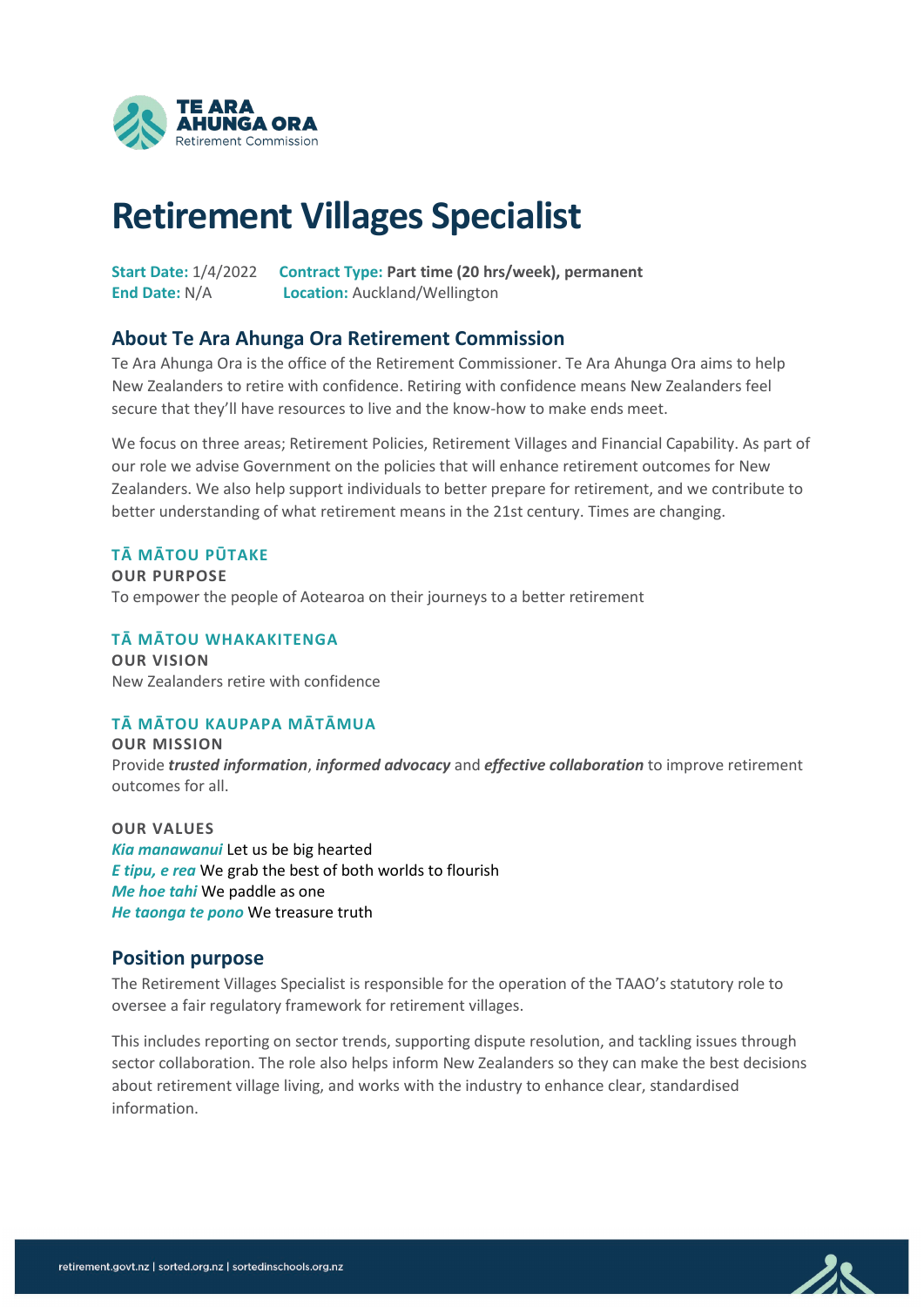

# **Retirement Villages Specialist**

**Start Date:** 1/4/2022 **Contract Type: Part time (20 hrs/week), permanent End Date:** N/A **Location:** Auckland/Wellington

#### **About Te Ara Ahunga Ora Retirement Commission**

Te Ara Ahunga Ora is the office of the Retirement Commissioner. Te Ara Ahunga Ora aims to help New Zealanders to retire with confidence. Retiring with confidence means New Zealanders feel secure that they'll have resources to live and the know-how to make ends meet.

We focus on three areas; Retirement Policies, Retirement Villages and Financial Capability. As part of our role we advise Government on the policies that will enhance retirement outcomes for New Zealanders. We also help support individuals to better prepare for retirement, and we contribute to better understanding of what retirement means in the 21st century. Times are changing.

#### **TĀ MĀTOU PŪTAKE**

**OUR PURPOSE**  To empower the people of Aotearoa on their journeys to a better retirement

**TĀ MĀTOU WHAKAKITENGA OUR VISION** New Zealanders retire with confidence

#### **TĀ MĀTOU KAUPAPA MĀTĀMUA**

**OUR MISSION** Provide *trusted information*, *informed advocacy* and *effective collaboration* to improve retirement outcomes for all.

**OUR VALUES** *Kia manawanui* Let us be big hearted *E tipu, e rea* We grab the best of both worlds to flourish *Me hoe tahi* We paddle as one *He taonga te pono* We treasure truth

#### **Position purpose**

The Retirement Villages Specialist is responsible for the operation of the TAAO's statutory role to oversee a fair regulatory framework for retirement villages.

This includes reporting on sector trends, supporting dispute resolution, and tackling issues through sector collaboration. The role also helps inform New Zealanders so they can make the best decisions about retirement village living, and works with the industry to enhance clear, standardised information.

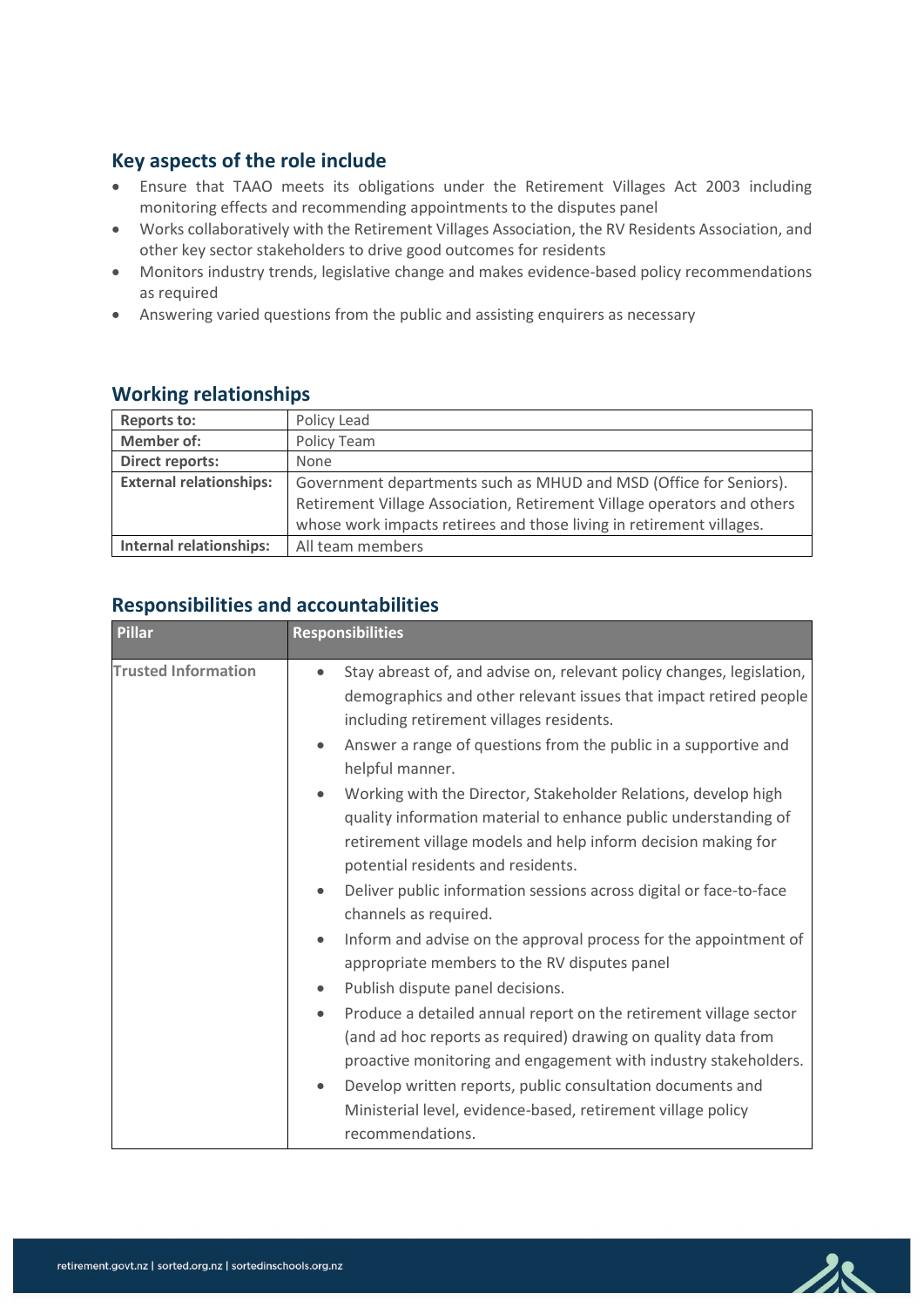## **Key aspects of the role include**

- Ensure that TAAO meets its obligations under the Retirement Villages Act 2003 including monitoring effects and recommending appointments to the disputes panel
- Works collaboratively with the Retirement Villages Association, the RV Residents Association, and other key sector stakeholders to drive good outcomes for residents
- Monitors industry trends, legislative change and makes evidence-based policy recommendations as required
- Answering varied questions from the public and assisting enquirers as necessary

## **Working relationships**

| <b>Reports to:</b>             | Policy Lead                                                             |  |  |
|--------------------------------|-------------------------------------------------------------------------|--|--|
| <b>Member of:</b>              | Policy Team                                                             |  |  |
| <b>Direct reports:</b>         | None                                                                    |  |  |
| <b>External relationships:</b> | Government departments such as MHUD and MSD (Office for Seniors).       |  |  |
|                                | Retirement Village Association, Retirement Village operators and others |  |  |
|                                | whose work impacts retirees and those living in retirement villages.    |  |  |
| <b>Internal relationships:</b> | All team members                                                        |  |  |

# **Responsibilities and accountabilities**

| <b>Pillar</b>              | <b>Responsibilities</b>                                                                                                                                                                                                                                                                                |  |
|----------------------------|--------------------------------------------------------------------------------------------------------------------------------------------------------------------------------------------------------------------------------------------------------------------------------------------------------|--|
| <b>Trusted Information</b> | Stay abreast of, and advise on, relevant policy changes, legislation,<br>$\bullet$<br>demographics and other relevant issues that impact retired people<br>including retirement villages residents.<br>Answer a range of questions from the public in a supportive and<br>$\bullet$<br>helpful manner. |  |
|                            | Working with the Director, Stakeholder Relations, develop high<br>$\bullet$<br>quality information material to enhance public understanding of<br>retirement village models and help inform decision making for<br>potential residents and residents.                                                  |  |
|                            | Deliver public information sessions across digital or face-to-face<br>$\bullet$<br>channels as required.                                                                                                                                                                                               |  |
|                            | Inform and advise on the approval process for the appointment of<br>$\bullet$<br>appropriate members to the RV disputes panel                                                                                                                                                                          |  |
|                            | Publish dispute panel decisions.<br>$\bullet$                                                                                                                                                                                                                                                          |  |
|                            | Produce a detailed annual report on the retirement village sector<br>$\bullet$<br>(and ad hoc reports as required) drawing on quality data from<br>proactive monitoring and engagement with industry stakeholders.                                                                                     |  |
|                            | Develop written reports, public consultation documents and<br>$\bullet$<br>Ministerial level, evidence-based, retirement village policy<br>recommendations.                                                                                                                                            |  |

ZR

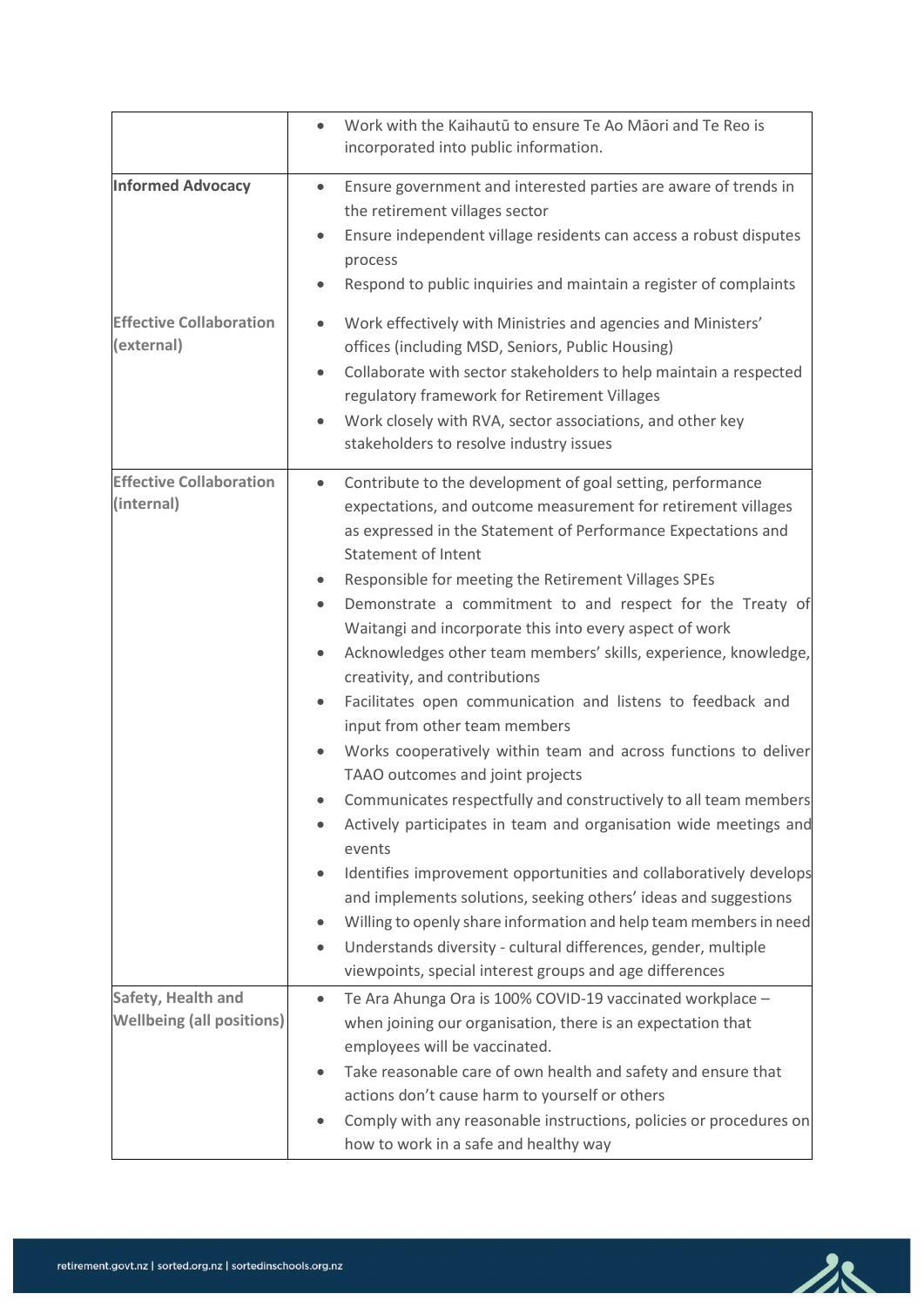|                                                        | Work with the Kaihautū to ensure Te Ao Māori and Te Reo is<br>$\bullet$<br>incorporated into public information.                                                                                                                                                                                                                                                                                                                                                                                                                                                                                                                                                                                                                                                                                                                                                                                                                                                                                                                                                                                                                                                                                                                                                                  |
|--------------------------------------------------------|-----------------------------------------------------------------------------------------------------------------------------------------------------------------------------------------------------------------------------------------------------------------------------------------------------------------------------------------------------------------------------------------------------------------------------------------------------------------------------------------------------------------------------------------------------------------------------------------------------------------------------------------------------------------------------------------------------------------------------------------------------------------------------------------------------------------------------------------------------------------------------------------------------------------------------------------------------------------------------------------------------------------------------------------------------------------------------------------------------------------------------------------------------------------------------------------------------------------------------------------------------------------------------------|
| <b>Informed Advocacy</b>                               | Ensure government and interested parties are aware of trends in<br>$\bullet$<br>the retirement villages sector<br>Ensure independent village residents can access a robust disputes<br>$\bullet$<br>process<br>Respond to public inquiries and maintain a register of complaints                                                                                                                                                                                                                                                                                                                                                                                                                                                                                                                                                                                                                                                                                                                                                                                                                                                                                                                                                                                                  |
| <b>Effective Collaboration</b><br>(external)           | Work effectively with Ministries and agencies and Ministers'<br>$\bullet$<br>offices (including MSD, Seniors, Public Housing)<br>Collaborate with sector stakeholders to help maintain a respected<br>$\bullet$<br>regulatory framework for Retirement Villages<br>Work closely with RVA, sector associations, and other key<br>$\bullet$<br>stakeholders to resolve industry issues                                                                                                                                                                                                                                                                                                                                                                                                                                                                                                                                                                                                                                                                                                                                                                                                                                                                                              |
| <b>Effective Collaboration</b><br>(internal)           | Contribute to the development of goal setting, performance<br>$\bullet$<br>expectations, and outcome measurement for retirement villages<br>as expressed in the Statement of Performance Expectations and<br><b>Statement of Intent</b><br>Responsible for meeting the Retirement Villages SPEs<br>$\bullet$<br>Demonstrate a commitment to and respect for the Treaty of<br>Waitangi and incorporate this into every aspect of work<br>Acknowledges other team members' skills, experience, knowledge,<br>$\bullet$<br>creativity, and contributions<br>Facilitates open communication and listens to feedback and<br>$\bullet$<br>input from other team members<br>Works cooperatively within team and across functions to deliver<br>TAAO outcomes and joint projects<br>Communicates respectfully and constructively to all team members<br>Actively participates in team and organisation wide meetings and<br>events<br>Identifies improvement opportunities and collaboratively develops<br>and implements solutions, seeking others' ideas and suggestions<br>Willing to openly share information and help team members in need<br>Understands diversity - cultural differences, gender, multiple<br>$\bullet$<br>viewpoints, special interest groups and age differences |
| Safety, Health and<br><b>Wellbeing (all positions)</b> | Te Ara Ahunga Ora is 100% COVID-19 vaccinated workplace -<br>$\bullet$<br>when joining our organisation, there is an expectation that<br>employees will be vaccinated.<br>Take reasonable care of own health and safety and ensure that<br>actions don't cause harm to yourself or others<br>Comply with any reasonable instructions, policies or procedures on<br>how to work in a safe and healthy way                                                                                                                                                                                                                                                                                                                                                                                                                                                                                                                                                                                                                                                                                                                                                                                                                                                                          |

 $28$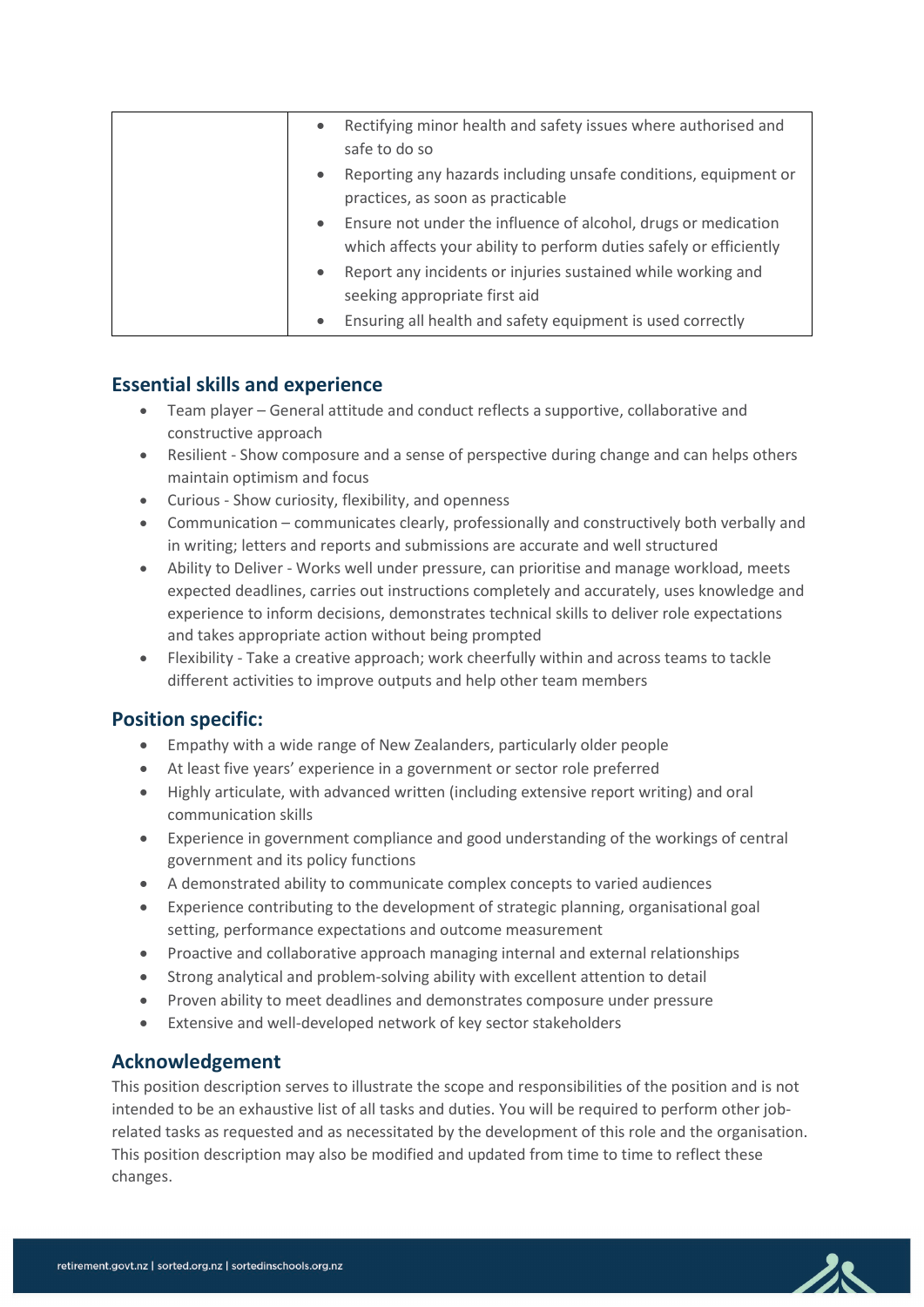| $\bullet$ | Rectifying minor health and safety issues where authorised and     |
|-----------|--------------------------------------------------------------------|
|           | safe to do so                                                      |
| $\bullet$ | Reporting any hazards including unsafe conditions, equipment or    |
|           | practices, as soon as practicable                                  |
| $\bullet$ | Ensure not under the influence of alcohol, drugs or medication     |
|           | which affects your ability to perform duties safely or efficiently |
| $\bullet$ | Report any incidents or injuries sustained while working and       |
|           | seeking appropriate first aid                                      |
| $\bullet$ | Ensuring all health and safety equipment is used correctly         |

#### **Essential skills and experience**

- Team player General attitude and conduct reflects a supportive, collaborative and constructive approach
- Resilient Show composure and a sense of perspective during change and can helps others maintain optimism and focus
- Curious Show curiosity, flexibility, and openness
- Communication communicates clearly, professionally and constructively both verbally and in writing; letters and reports and submissions are accurate and well structured
- Ability to Deliver Works well under pressure, can prioritise and manage workload, meets expected deadlines, carries out instructions completely and accurately, uses knowledge and experience to inform decisions, demonstrates technical skills to deliver role expectations and takes appropriate action without being prompted
- Flexibility Take a creative approach; work cheerfully within and across teams to tackle different activities to improve outputs and help other team members

#### **Position specific:**

- Empathy with a wide range of New Zealanders, particularly older people
- At least five years' experience in a government or sector role preferred
- Highly articulate, with advanced written (including extensive report writing) and oral communication skills
- Experience in government compliance and good understanding of the workings of central government and its policy functions
- A demonstrated ability to communicate complex concepts to varied audiences
- Experience contributing to the development of strategic planning, organisational goal setting, performance expectations and outcome measurement
- Proactive and collaborative approach managing internal and external relationships
- Strong analytical and problem-solving ability with excellent attention to detail
- Proven ability to meet deadlines and demonstrates composure under pressure
- Extensive and well-developed network of key sector stakeholders

#### **Acknowledgement**

This position description serves to illustrate the scope and responsibilities of the position and is not intended to be an exhaustive list of all tasks and duties. You will be required to perform other jobrelated tasks as requested and as necessitated by the development of this role and the organisation. This position description may also be modified and updated from time to time to reflect these changes.